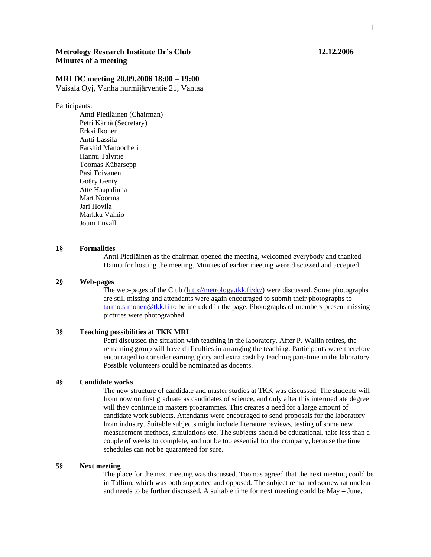# **Metrology Research Institute Dr's Club 12.12.2006 Minutes of a meeting**

## **MRI DC meeting 20.09.2006 18:00 – 19:00**

Vaisala Oyj, Vanha nurmijärventie 21, Vantaa

Participants:

 Antti Pietiläinen (Chairman) Petri Kärhä (Secretary) Erkki Ikonen Antti Lassila Farshid Manoocheri Hannu Talvitie Toomas Kübarsepp Pasi Toivanen Goëry Genty Atte Haapalinna Mart Noorma Jari Hovila Markku Vainio Jouni Envall

#### **1§ Formalities**

Antti Pietiläinen as the chairman opened the meeting, welcomed everybody and thanked Hannu for hosting the meeting. Minutes of earlier meeting were discussed and accepted.

#### **2§ Web-pages**

The web-pages of the Club (http://metrology.tkk.fi/dc/) were discussed. Some photographs are still missing and attendants were again encouraged to submit their photographs to tarmo.simonen@tkk.fi to be included in the page. Photographs of members present missing pictures were photographed.

#### **3§ Teaching possibilities at TKK MRI**

Petri discussed the situation with teaching in the laboratory. After P. Wallin retires, the remaining group will have difficulties in arranging the teaching. Participants were therefore encouraged to consider earning glory and extra cash by teaching part-time in the laboratory. Possible volunteers could be nominated as docents.

### **4§ Candidate works**

The new structure of candidate and master studies at TKK was discussed. The students will from now on first graduate as candidates of science, and only after this intermediate degree will they continue in masters programmes. This creates a need for a large amount of candidate work subjects. Attendants were encouraged to send proposals for the laboratory from industry. Suitable subjects might include literature reviews, testing of some new measurement methods, simulations etc. The subjects should be educational, take less than a couple of weeks to complete, and not be too essential for the company, because the time schedules can not be guaranteed for sure.

#### **5§ Next meeting**

The place for the next meeting was discussed. Toomas agreed that the next meeting could be in Tallinn, which was both supported and opposed. The subject remained somewhat unclear and needs to be further discussed. A suitable time for next meeting could be May – June,